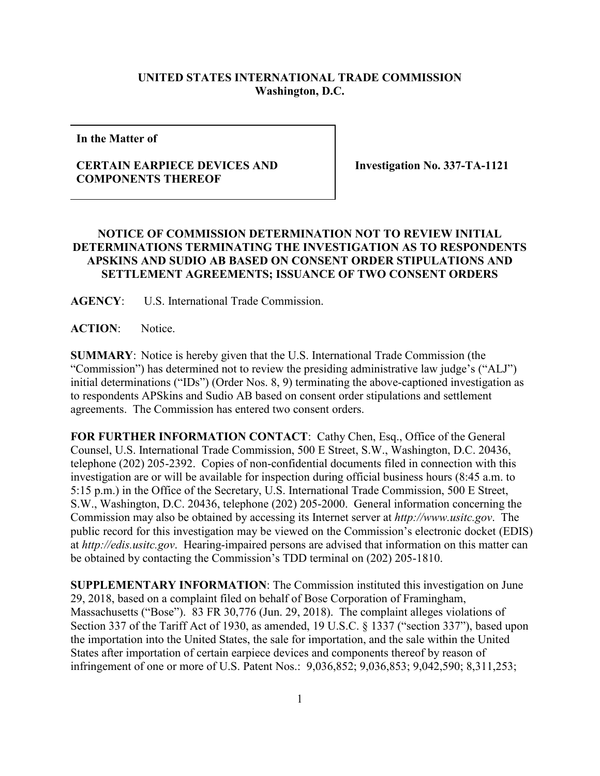## **UNITED STATES INTERNATIONAL TRADE COMMISSION Washington, D.C.**

**In the Matter of**

## **CERTAIN EARPIECE DEVICES AND COMPONENTS THEREOF**

**Investigation No. 337-TA-1121**

## **NOTICE OF COMMISSION DETERMINATION NOT TO REVIEW INITIAL DETERMINATIONS TERMINATING THE INVESTIGATION AS TO RESPONDENTS APSKINS AND SUDIO AB BASED ON CONSENT ORDER STIPULATIONS AND SETTLEMENT AGREEMENTS; ISSUANCE OF TWO CONSENT ORDERS**

**AGENCY**: U.S. International Trade Commission.

**ACTION**: Notice.

**SUMMARY**: Notice is hereby given that the U.S. International Trade Commission (the "Commission") has determined not to review the presiding administrative law judge's ("ALJ") initial determinations ("IDs") (Order Nos. 8, 9) terminating the above-captioned investigation as to respondents APSkins and Sudio AB based on consent order stipulations and settlement agreements. The Commission has entered two consent orders.

FOR FURTHER INFORMATION CONTACT: Cathy Chen, Esq., Office of the General Counsel, U.S. International Trade Commission, 500 E Street, S.W., Washington, D.C. 20436, telephone (202) 205-2392. Copies of non-confidential documents filed in connection with this investigation are or will be available for inspection during official business hours (8:45 a.m. to 5:15 p.m.) in the Office of the Secretary, U.S. International Trade Commission, 500 E Street, S.W., Washington, D.C. 20436, telephone (202) 205-2000. General information concerning the Commission may also be obtained by accessing its Internet server at *http://www.usitc.gov*. The public record for this investigation may be viewed on the Commission's electronic docket (EDIS) at *http://edis.usitc.gov*. Hearing-impaired persons are advised that information on this matter can be obtained by contacting the Commission's TDD terminal on (202) 205-1810.

**SUPPLEMENTARY INFORMATION**: The Commission instituted this investigation on June 29, 2018, based on a complaint filed on behalf of Bose Corporation of Framingham, Massachusetts ("Bose"). 83 FR 30,776 (Jun. 29, 2018). The complaint alleges violations of Section 337 of the Tariff Act of 1930, as amended, 19 U.S.C. § 1337 ("section 337"), based upon the importation into the United States, the sale for importation, and the sale within the United States after importation of certain earpiece devices and components thereof by reason of infringement of one or more of U.S. Patent Nos.: 9,036,852; 9,036,853; 9,042,590; 8,311,253;